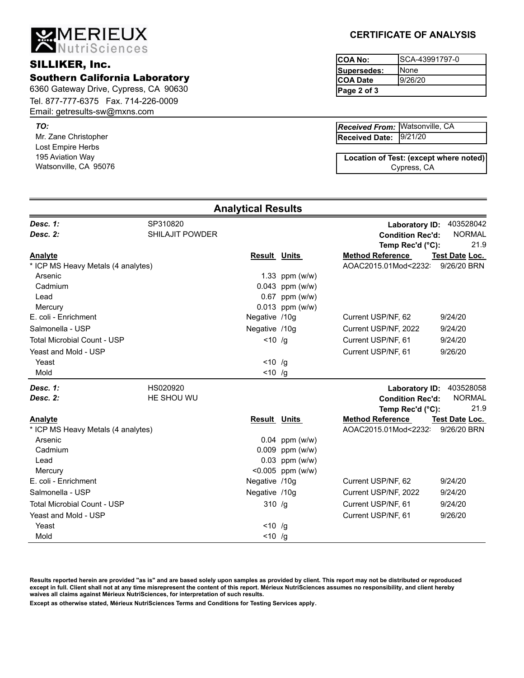6360 Gateway Drive, Cypress, CA 90630 Southern California Laboratory Tel. 877-777-6375 Fax. 714-226-0009

Email: getresults-sw@mxns.com

**MERIEUX**<br>ANutriSciences

Mr. Zane Christopher *TO:* Lost Empire Herbs 195 Aviation Way Watsonville, CA 95076

**SILLIKER, Inc.** 

# **CERTIFICATE OF ANALYSIS**

| COA No:          | ISCA-43991797-0 |
|------------------|-----------------|
| Supersedes:      | <b>I</b> None   |
| <b>ICOA Date</b> | 9/26/20         |
| Page 2 of 3      |                 |

| <b>Received From: Watsonville, CA</b> |  |
|---------------------------------------|--|
| Received Date: 9/21/20                |  |

Cypress, CA **Location of Test: (except where noted)**

|                                    |                                    | <b>Analytical Results</b> |                     |                                                                      |                                    |
|------------------------------------|------------------------------------|---------------------------|---------------------|----------------------------------------------------------------------|------------------------------------|
| Desc. 1:<br>Desc. 2:               | SP310820<br><b>SHILAJIT POWDER</b> |                           |                     | <b>Laboratory ID:</b><br><b>Condition Rec'd:</b><br>Temp Rec'd (°C): | 403528042<br><b>NORMAL</b><br>21.9 |
| <b>Analyte</b>                     |                                    | <b>Result Units</b>       |                     | <b>Method Reference</b>                                              | Test Date Loc.                     |
| * ICP MS Heavy Metals (4 analytes) |                                    |                           |                     | AOAC2015.01Mod<2232                                                  | 9/26/20 BRN                        |
| Arsenic                            |                                    |                           | 1.33 ppm $(w/w)$    |                                                                      |                                    |
| Cadmium                            |                                    |                           | $0.043$ ppm (w/w)   |                                                                      |                                    |
| Lead                               |                                    |                           | $0.67$ ppm (w/w)    |                                                                      |                                    |
| Mercury                            |                                    |                           | $0.013$ ppm (w/w)   |                                                                      |                                    |
| E. coli - Enrichment               |                                    | Negative /10g             |                     | Current USP/NF, 62                                                   | 9/24/20                            |
| Salmonella - USP                   |                                    | Negative /10g             |                     | Current USP/NF, 2022                                                 | 9/24/20                            |
| <b>Total Microbial Count - USP</b> |                                    | $< 10$ /g                 |                     | Current USP/NF, 61                                                   | 9/24/20                            |
| Yeast and Mold - USP<br>Yeast      |                                    | $< 10$ /g                 |                     | Current USP/NF, 61                                                   | 9/26/20                            |
| Mold                               |                                    | $< 10$ /g                 |                     |                                                                      |                                    |
|                                    |                                    |                           |                     |                                                                      |                                    |
| Desc. 1:                           | HS020920                           |                           |                     | <b>Laboratory ID:</b>                                                | 403528058                          |
| Desc. 2:                           | HE SHOU WU                         |                           |                     | <b>Condition Rec'd:</b>                                              | <b>NORMAL</b>                      |
|                                    |                                    |                           |                     | Temp Rec'd (°C):                                                     | 21.9                               |
| <b>Analyte</b>                     |                                    | <b>Result Units</b>       |                     | <b>Method Reference</b>                                              | Test Date Loc.                     |
| * ICP MS Heavy Metals (4 analytes) |                                    |                           |                     | AOAC2015.01Mod<2232                                                  | 9/26/20 BRN                        |
| Arsenic                            |                                    |                           | $0.04$ ppm (w/w)    |                                                                      |                                    |
| Cadmium                            |                                    |                           | $0.009$ ppm (w/w)   |                                                                      |                                    |
| Lead                               |                                    |                           | $0.03$ ppm (w/w)    |                                                                      |                                    |
| Mercury<br>E. coli - Enrichment    |                                    | Negative /10g             | $< 0.005$ ppm (w/w) | Current USP/NF, 62                                                   | 9/24/20                            |
|                                    |                                    |                           |                     |                                                                      |                                    |
| Salmonella - USP                   |                                    | Negative /10g             |                     | Current USP/NF, 2022                                                 | 9/24/20                            |
| <b>Total Microbial Count - USP</b> |                                    | 310/g                     |                     | Current USP/NF, 61                                                   | 9/24/20                            |
| Yeast and Mold - USP               |                                    |                           |                     | Current USP/NF, 61                                                   | 9/26/20                            |
| Yeast                              |                                    | $< 10$ /g                 |                     |                                                                      |                                    |
| Mold                               |                                    | $< 10$ /g                 |                     |                                                                      |                                    |

**Results reported herein are provided "as is" and are based solely upon samples as provided by client. This report may not be distributed or reproduced except in full. Client shall not at any time misrepresent the content of this report. Mérieux NutriSciences assumes no responsibility, and client hereby waives all claims against Mérieux NutriSciences, for interpretation of such results.**

**Except as otherwise stated, Mérieux NutriSciences Terms and Conditions for Testing Services apply.**